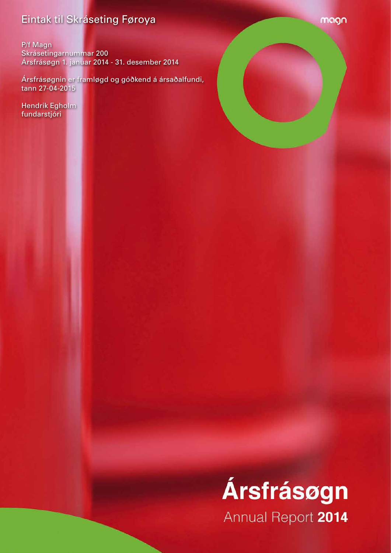# Eintak til Skráseting Føroya

magn

P/f Magn Skrásetingarnummar 200 Ársfrásøgn 1. januar 2014 - 31. desember 2014

Ársfrásøgnin er framløgd og góðkend á ársaðalfundi, tann 27-04-2015

Hendrik Egholm fundarstjóri

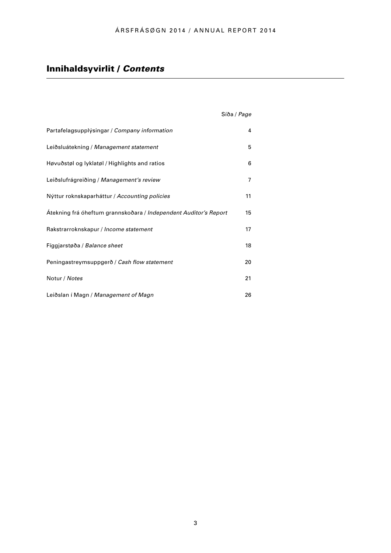# Innihaldsyvirlit / *Contents*

|                                                                  | Síða / Page |
|------------------------------------------------------------------|-------------|
| Partafelagsupplýsingar / Company information                     | 4           |
| Leiðsluátekning / Management statement                           | 5           |
| Høvuðstøl og lyklatøl / Highlights and ratios                    | 6           |
| Leiðslufrágreiðing / Management's review                         | 7           |
| Nýttur roknskaparháttur / Accounting policies                    | 11          |
| Atekning frá óheftum grannskoðara / Independent Auditor's Report | 15          |
| Rakstrarroknskapur / Income statement                            | 17          |
| Fíggjarstøða / Balance sheet                                     | 18          |
| Peningastreymsuppgerð / Cash flow statement                      | 20          |
| Notur / Notes                                                    | 21          |
| Leiðslan í Magn / Management of Magn                             | 26          |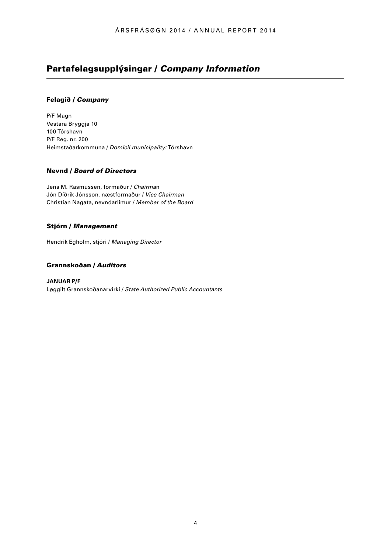# Partafelagsupplýsingar / *Company Information*

## Felagið / *Company*

P/F Magn Vestara Bryggja 10 100 Tórshavn P/F Reg. nr. 200 Heimstaðarkommuna / *Domicil municipality:* Tórshavn

## Nevnd / *Board of Directors*

Jens M. Rasmussen, formaður / *Chairma*n Jón Díðrik Jónsson, næstformaður / *Vice Chairman* Christian Nagata, nevndarlimur / *Member of the Board*

## Stjórn / *Management*

Hendrik Egholm, stjóri / *Managing Director*

## Grannskoðan / *Auditors*

**JANUAR P/F**  Løggilt Grannskoðanarvirki / *State Authorized Public Accountants*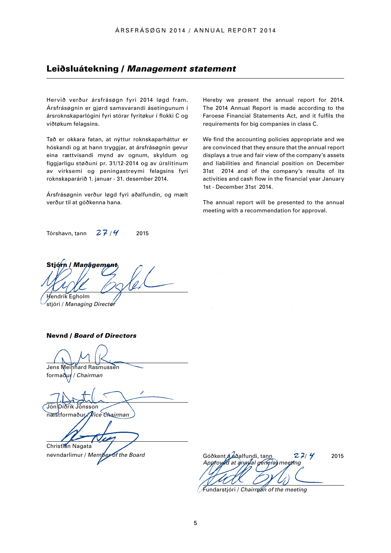## Leiðsluátekning / *Management statement*

Hervið verður ársfrásøgn fyri 2014 løgd fram. Ársfrásøgnin er gjørd samsvarandi ásetingunum í ársroknskaparlógini fyri stórar fyritøkur í flokki C og viðtøkum felagsins.

Tað er okkara fatan, at nýttur roknskaparháttur er hóskandi og at hann tryggjar, at ársfrásøgnin gevur eina rættvísandi mynd av ognum, skyldum og fíggjarligu støðuni pr. 31/12-2014 og av úrslitinum av virksemi og peningastreymi felagsins fyri roknskaparárið 1. januar - 31. desember 2014.

Ársfrásøgnin verður løgd fyri aðalfundin, og mælt verður til at góðkenna hana.

Hereby we present the annual report for 2014. The 2014 Annual Report is made according to the Faroese Financial Statements Act, and it fulfils the requirements for big companies in class C.

We find the accounting policies appropriate and we are convinced that they ensure that the annual report displays a true and fair view of the company's assets and liabilities and financial position on December 31st 2014 and of the company's results of its activities and cash flow in the financial year January 1st - December 31st 2014.

The annual report will be presented to the annual meeting with a recommendation for approval.

| Tórshavn, tann | $2 + 14$ | 2015 |
|----------------|----------|------|
|                |          |      |

Stjórn / *Managem* Hendrik Egholm stjóri / *Managing Director*

Nevnd / *Board of Directors* 

Jens Meinhard Rasmussen

formaður / *Chairman*

Jón Díðrik Jónsson

næstformaður / *Vice Chairman* 

Christian Nagata

nevndarlimur / *Memper of the Board* Góðkent á aðalfundi, tann 27/ Y 2015 *Approved at annual general meeting* 

Fundarstjóri / *Chairman of the meeting*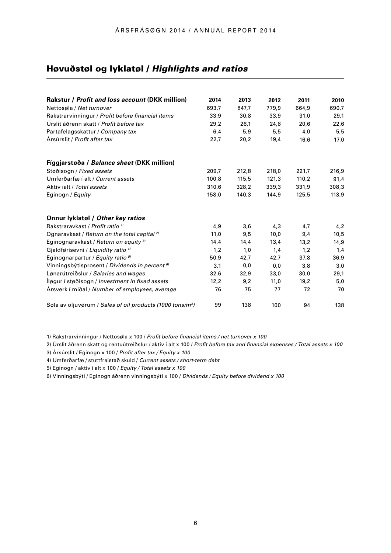# Høvuðstøl og lyklatøl / *Highlights and ratios*

| Rakstur / Profit and loss account (DKK million)                       | 2014  | 2013  | 2012  | 2011  | 2010  |
|-----------------------------------------------------------------------|-------|-------|-------|-------|-------|
| Nettosøla / Net turnover                                              | 693,7 | 847,7 | 779,9 | 664,9 | 690,7 |
| Rakstrarvinningur / Profit before financial items                     | 33,9  | 30,8  | 33,9  | 31,0  | 29,1  |
| Úrslit áðrenn skatt / Profit before tax                               | 29,2  | 26,1  | 24,8  | 20,6  | 22,6  |
| Partafelagsskattur / Company tax                                      | 6,4   | 5,9   | 5,5   | 4,0   | 5,5   |
| Ársúrslit / Profit after tax                                          | 22,7  | 20,2  | 19,4  | 16,6  | 17.0  |
| Fíggjarstøða / Balance sheet (DKK million)                            |       |       |       |       |       |
| Støðisogn / Fixed assets                                              | 209,7 | 212,8 | 218,0 | 221,7 | 216,9 |
| Umferðarfæ í alt / Current assets                                     | 100,8 | 115,5 | 121,3 | 110,2 | 91,4  |
| Aktiv íalt / Total assets                                             | 310,6 | 328,2 | 339,3 | 331,9 | 308,3 |
| Eginogn / Equity                                                      | 158,0 | 140,3 | 144,9 | 125,5 | 113,9 |
| Onnur lyklatøl / Other key ratios                                     |       |       |       |       |       |
| Rakstraravkast / Profit ratio <sup>1)</sup>                           | 4,9   | 3,6   | 4,3   | 4,7   | 4,2   |
| Ognaravkast / Return on the total capital <sup>2)</sup>               | 11,0  | 9,5   | 10,0  | 9,4   | 10,5  |
| Eginognaravkast / Return on equity <sup>3)</sup>                      | 14,4  | 14,4  | 13,4  | 13.2  | 14,9  |
| Gjaldførisevni / Liquidity ratio <sup>4)</sup>                        | 1,2   | 1,0   | 1,4   | 1,2   | 1,4   |
| Eginognarpartur / Equity ratio 5)                                     | 50,9  | 42,7  | 42,7  | 37,8  | 36,9  |
| Vinningsbýtisprosent / Dividends in percent <sup>6)</sup>             | 3,1   | 0,0   | 0,0   | 3,8   | 3,0   |
| Lønarútreiðslur / Salaries and wages                                  | 32,6  | 32,9  | 33,0  | 30,0  | 29,1  |
| Iløgur í støðisogn / Investment in fixed assets                       | 12,2  | 9,2   | 11,0  | 19,2  | 5,0   |
| Arsverk í miðal / Number of employees, average                        | 76    | 75    | 77    | 72    | 70    |
| Søla av oljuvørum / Sales of oil products (1000 tons/m <sup>3</sup> ) | 99    | 138   | 100   | 94    | 138   |

1) Rakstrarvinningur / Nettosøla x 100 / *Profit before financial items / net turnover x 100* 

2) Úrslit áðrenn skatt og rentuútreiðslur / aktiv í alt x 100 / *Profit before tax and financial expenses / Total assets x 100* 

3) Ársúrslit / Eginogn x 100 / *Profit after tax / Equity x 100* 

4) Umferðarfæ / stuttfreistað skuld / *Current assets / short-term debt* 

5) Eginogn / aktiv í alt x 100 / *Equity / Total assets x 100* 

6) Vinningsbýti / Eginogn áðrenn vinningsbýti x 100 / *Dividends / Equity before dividend x 100*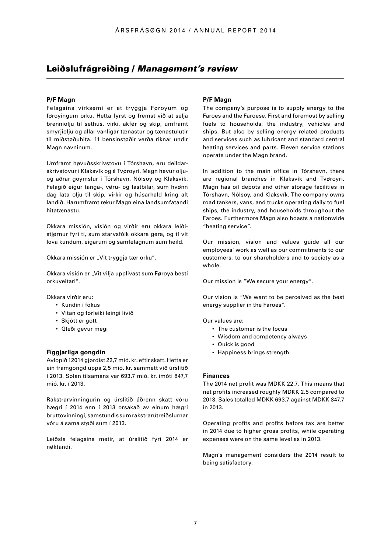## Leiðslufrágreiðing / *Management's review*

### **P/F Magn**

Felagsins virksemi er at tryggja Føroyum og føroyingum orku. Hetta fyrst og fremst við at selja brenniolju til sethús, virki, akfør og skip, umframt smyrjiolju og allar vanligar tænastur og tænastulutir til miðstøðuhita. 11 bensinstøðir verða riknar undir Magn navninum.

Umframt høvuðsskrivstovu í Tórshavn, eru deildarskrivstovur í Klaksvík og á Tvøroyri. Magn hevur oljuog aðrar goymslur í Tórshavn, Nólsoy og Klaksvík. Felagið eigur tanga-, vøru- og lastbilar, sum hvønn dag lata olju til skip, virkir og húsarhald kring alt landið. Harumframt rekur Magn eina landsumfatandi hitatænastu.

Okkara missión, visión og virðir eru okkara leiðistjørnur fyri tí, sum starvsfólk okkara gera, og tí vit lova kundum, eigarum og samfelagnum sum heild.

Okkara missión er "Vit tryggja tær orku".

Okkara visión er "Vit vilja upplivast sum Føroya besti orkuveitari".

Okkara virðir eru:

- Kundin í fokus
- Vitan og førleiki leingi livið
- Skjótt er gott
- Gleði gevur megi

#### **Fíggjarliga gongdin**

Avlopið í 2014 gjørdist 22,7 mió. kr. eftir skatt. Hetta er ein framgongd uppá 2,5 mió. kr. sammett við úrslitið í 2013. Sølan tilsamans var 693,7 mió. kr. ímóti 847,7 mió. kr. í 2013.

Rakstrarvinningurin og úrslitið áðrenn skatt vóru hægri í 2014 enn í 2013 orsakað av einum hægri bruttovinningi, samstundis sum rakstrarútreiðslurnar vóru á sama støði sum í 2013.

Leiðsla felagsins metir, at úrslitið fyri 2014 er nøktandi.

#### **P/F Magn**

The company's purpose is to supply energy to the Faroes and the Faroese. First and foremost by selling fuels to households, the industry, vehicles and ships. But also by selling energy related products and services such as lubricant and standard central heating services and parts. Eleven service stations operate under the Magn brand.

In addition to the main office in Tórshavn, there are regional branches in Klaksvík and Tvøroyri. Magn has oil depots and other storage facilities in Tórshavn, Nólsoy, and Klaksvík. The company owns road tankers, vans, and trucks operating daily to fuel ships, the industry, and households throughout the Faroes. Furthermore Magn also boasts a nationwide "heating service".

Our mission, vision and values guide all our employees' work as well as our commitments to our customers, to our shareholders and to society as a whole.

Our mission is "We secure your energy".

Our vision is "We want to be perceived as the best energy supplier in the Faroes".

Our values are:

- The customer is the focus
- Wisdom and competency always
- Quick is good
- Happiness brings strength

#### **Finances**

The 2014 net profit was MDKK 22.7. This means that net profits increased roughly MDKK 2.5 compared to 2013. Sales totalled MDKK 693.7 against MDKK 847.7 in 2013.

Operating profits and profits before tax are better in 2014 due to higher gross profits, while operating expenses were on the same level as in 2013.

Magn's management considers the 2014 result to being satisfactory.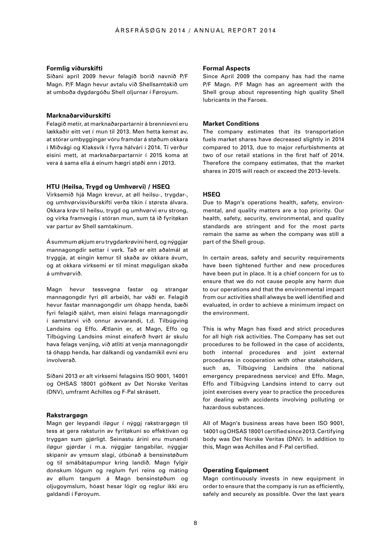#### **Formlig viðurskifti**

Síðani apríl 2009 hevur felagið borið navnið P/F Magn. P/F Magn hevur avtalu við Shellsamtakið um at umboða dygdargóðu Shell oljurnar í Føroyum.

#### **Marknaðarviðurskifti**

Felagið metir, at marknaðarpartarnir á brennievni eru lækkaðir eitt vet í mun til 2013. Men hetta kemst av, at stórar umbyggingar vóru framdar á støðum okkara í Miðvági og Klaksvík í fyrra hálvári í 2014. Tí verður eisini mett, at marknaðarpartarnir í 2015 koma at vera á sama ella á einum hægri støði enn í 2013.

#### **HTU (Heilsa, Trygd og Umhvørvi) / HSEQ**

Virksemið hjá Magn krevur, at øll heilsu-, trygdar-, og umhvørvisviðurskifti verða tikin í størsta álvara. Okkara krøv til heilsu, trygd og umhvørvi eru strong, og virka framvegis í stóran mun, sum tá ið fyritøkan var partur av Shell samtakinum.

Á summum økjum eru trygdarkrøvini herd, og nýggjar mannagongdir settar í verk. Tað er eitt aðalmál at tryggja, at eingin kemur til skaða av okkara ávum, og at okkara virksemi er til minst møguligan skaða á umhvørvið.

Magn hevur tessvegna fastar og strangar mannagongdir fyri øll arbeiði, har váði er. Felagið hevur fastar mannagongdir um óhapp henda, bæði fyri felagið sjálvt, men eisini felags mannagongdir í samstarvi við onnur avvarandi, t.d. Tilbúgving Landsins og Effo. Ætlanin er, at Magn, Effo og Tilbúgving Landsins minst einaferð hvørt ár skulu hava felags venjing, við atliti at venja mannagongdir tá óhapp henda, har dálkandi og vandamikil evni eru involverað.

Síðani 2013 er alt virksemi felagsins ISO 9001, 14001 og OHSAS 18001 góðkent av Det Norske Veritas (DNV), umframt Achilles og F-Pal skrásett.

#### **Rakstrargøgn**

Magn ger leypandi íløgur í nýggj rakstrargøgn til tess at gera raksturin av fyritøkuni so effektivan og tryggan sum gjørligt. Seinastu árini eru munandi íløgur gjørdar í m.a. nýggjar tangabilar, nýggjar skipanir av ymsum slagi, útbúnað á bensinstøðum og til smábátapumpur kring landið. Magn fylgir donskum lógum og reglum fyri reins og máting av øllum tangum á Magn bensinstøðum og oljugoymslum, hóast hesar lógir og reglur ikki eru galdandi í Føroyum.

### **Formal Aspects**

Since April 2009 the company has had the name P/F Magn. P/F Magn has an agreement with the Shell group about representing high quality Shell lubricants in the Faroes.

#### **Market Conditions**

The company estimates that its transportation fuels market shares have decreased slightly in 2014 compared to 2013, due to major refurbishments at two of our retail stations in the first half of 2014. Therefore the company estimates, that the market shares in 2015 will reach or exceed the 2013-levels.

#### **HSEQ**

Due to Magn's operations health, safety, environmental, and quality matters are a top priority. Our health, safety, security, environmental, and quality standards are stringent and for the most parts remain the same as when the company was still a part of the Shell group.

In certain areas, safety and security requirements have been tightened further and new procedures have been put in place. It is a chief concern for us to ensure that we do not cause people any harm due to our operations and that the environmental impact from our activities shall always be well identified and evaluated, in order to achieve a minimum impact on the environment.

This is why Magn has fixed and strict procedures for all high risk activities. The Company has set out procedures to be followed in the case of accidents, both internal procedures and joint external procedures in cooperation with other stakeholders, such as, Tilbúgving Landsins (the national emergency preparedness service) and Effo. Magn, Effo and Tilbúgving Landsins intend to carry out joint exercises every year to practice the procedures for dealing with accidents involving polluting or hazardous substances.

All of Magn's business areas have been ISO 9001, 14001 og OHSAS 18001 certified since 2013. Certifying body was Det Norske Veritas (DNV). In addition to this, Magn was Achilles and F-Pal certified.

#### **Operating Equipment**

Magn continuously invests in new equipment in order to ensure that the company is run as efficiently, safely and securely as possible. Over the last years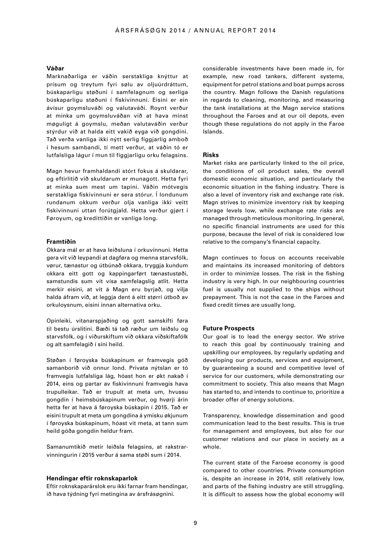#### **Váðar**

Marknaðarliga er váðin serstakliga knýttur at prísum og treytum fyri sølu av oljuúrdráttum, búskaparligu støðuni í samfelagnum og serliga búskaparligu støðuni í fiskivinnuni. Eisini er ein ávísur goymsluváði og valutaváði. Roynt verður at minka um goymsluváðan við at hava minst møguligt á goymslu, meðan valutaváðin verður stýrdur við at halda eitt vakið eyga við gongdini. Tað verða vanliga ikki nýtt serlig fíggjarlig amboð í hesum sambandi, tí mett verður, at váðin tó er lutfalsliga lágur í mun til fíggjarligu orku felagsins.

Magn hevur framhaldandi stórt fokus á skuldarar, og eftirlitið við skuldarum er munagott. Hetta fyri at minka sum mest um tapini. Váðin mótvegis serstakliga fiskivinnuni er sera stórur. Í londunum rundanum okkum verður olja vanliga ikki veitt fiskivinnuni uttan forútgjald. Hetta verður gjørt í Føroyum, og kredittíðin er vanliga long.

#### **Framtíðin**

Okkara mál er at hava leiðsluna í orkuvinnuni. Hetta gera vit við leypandi at dagføra og menna starvsfólk, vørur, tænastur og útbúnað okkara, tryggja kundum okkara eitt gott og kappingarført tænastustøði, samstundis sum vit vísa samfelagslig atlit. Hetta merkir eisini, at vit á Magn eru byrjað, og vilja halda áfram við, at leggja dent á eitt størri útboð av orkuloysnum, eisini innan alternativa orku.

Opinleiki, vitanarspjaðing og gott samskifti føra til bestu úrslitini. Bæði tá tað ræður um leiðslu og starvsfólk, og í viðurskiftum við okkara viðskiftafólk og alt samfelagið í síni heild.

Støðan í føroyska búskapinum er framvegis góð samanborið við onnur lond. Privata nýtslan er tó framvegis lutfalsliga lág, hóast hon er økt nakað í 2014, eins og partar av fiskivinnuni framvegis hava trupulleikar. Tað er trupult at meta um, hvussu gongdin í heimsbúskapinum verður, og hvørji árin hetta fer at hava á føroyska búskapin í 2015. Tað er eisini trupult at meta um gongdina á ymisku økjunum í føroyska búskapinum, hóast vit meta, at tann sum heild góða gongdin heldur fram.

Samanumtikið metir leiðsla felagsins, at rakstrarvinningurin í 2015 verður á sama støði sum í 2014.

#### **Hendingar eftir roknskaparlok**

Eftir roknskaparárslok eru ikki farnar fram hendingar, ið hava týdning fyri metingina av ársfrásøgnini.

considerable investments have been made in, for example, new road tankers, different systems, equipment for petrol stations and boat pumps across the country. Magn follows the Danish regulations in regards to cleaning, monitoring, and measuring the tank installations at the Magn service stations throughout the Faroes and at our oil depots, even though these regulations do not apply in the Faroe Islands.

#### **Risks**

Market risks are particularly linked to the oil price, the conditions of oil product sales, the overall domestic economic situation, and particularly the economic situation in the fishing industry. There is also a level of inventory risk and exchange rate risk. Magn strives to minimize inventory risk by keeping storage levels low, while exchange rate risks are managed through meticulous monitoring. In general, no specific financial instruments are used for this purpose, because the level of risk is considered low relative to the company's financial capacity.

Magn continues to focus on accounts receivable and maintains its increased monitoring of debtors in order to minimize losses. The risk in the fishing industry is very high. In our neighbouring countries fuel is usually not supplied to the ships without prepayment. This is not the case in the Faroes and fixed credit times are usually long.

#### **Future Prospects**

Our goal is to lead the energy sector. We strive to reach this goal by continuously training and upskilling our employees, by regularly updating and developing our products, services and equipment, by guaranteeing a sound and competitive level of service for our customers, while demonstrating our commitment to society. This also means that Magn has started to, and intends to continue to, prioritize a broader offer of energy solutions.

Transparency, knowledge dissemination and good communication lead to the best results. This is true for management and employees, but also for our customer relations and our place in society as a whole.

The current state of the Faroese economy is good compared to other countries. Private consumption is, despite an increase in 2014, still relatively low, and parts of the fishing industry are still struggling. It is difficult to assess how the global economy will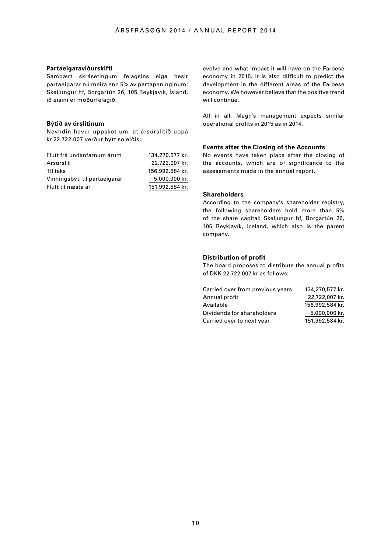#### **Partaeigaraviðurskifti**

Sambært skrásetingum felagsins eiga hesir partaeigarar nú meira enn 5% av partapeninginum: Skeljungur hf, Borgartún 26, 105 Reykjavík, Ísland, ið eisini er móðurfelagið.

#### **Býtið av úrslitinum**

Nevndin hevur uppskot um, at ársúrslitið uppá kr 22.722.007 verður býtt soleiðis:

| Flutt frá undanfarnum árum    | 134.270.577 kr. |
|-------------------------------|-----------------|
| Ársúrslit                     | 22.722.007 kr.  |
| Til taks                      | 156.992.584 kr. |
| Vinningsbýti til partaeigarar | 5.000.000 kr.   |
| Flutt til næsta ár            | 151.992.584 kr. |

evolve and what impact it will have on the Faroese economy in 2015. It is also difficult to predict the development in the different areas of the Faroese economy. We however believe that the positive trend will continue.

All in all, Magn's management expects similar operational profits in 2015 as in 2014.

#### **Events after the Closing of the Accounts**

No events have taken place after the closing of the accounts, which are of significance to the assessments made in the annual report.

#### **Shareholders**

According to the company's shareholder registry, the following shareholders hold more than 5% of the share capital: Skeljungur hf, Borgartún 26, 105 Reykjavík, Iceland, which also is the parent company.

#### **Distribution of profit**

The board proposes to distribute the annual profits of DKK 22,722,007 kr as follows:

| Carried over from previous years | 134,270,577 kr. |
|----------------------------------|-----------------|
| Annual profit                    | 22,722,007 kr.  |
| Available                        | 156,992,584 kr. |
| Dividends for shareholders       | 5,000,000 kr.   |
| Carried over to next year        | 151,992,584 kr. |
|                                  |                 |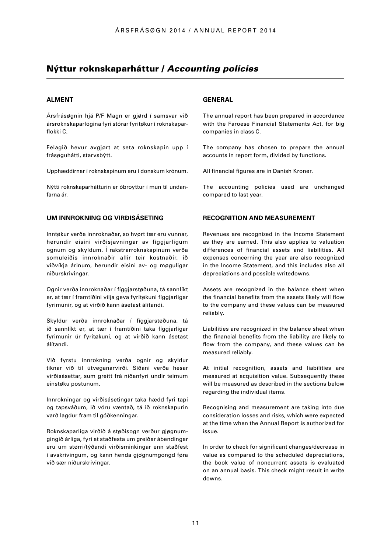# Nýttur roknskaparháttur / *Accounting policies*

## **ALMENT**

Ársfrásøgnin hjá P/F Magn er gjørd í samsvar við ársroknskaparlógina fyri stórar fyritøkur í roknskaparflokki C.

Felagið hevur avgjørt at seta roknskapin upp í frásøguhátti, starvsbýtt.

Upphæddirnar í roknskapinum eru í donskum krónum.

Nýtti roknskaparhátturin er óbroyttur í mun til undanfarna ár.

#### **UM INNROKNING OG VIRÐISÁSETING**

Inntøkur verða innroknaðar, so hvørt tær eru vunnar, herundir eisini virðisjavningar av fíggjarligum ognum og skyldum. Í rakstrarroknskapinum verða somuleiðis innroknaðir allir teir kostnaðir, ið viðvíkja árinum, herundir eisini av- og møguligar niðurskrivingar.

Ognir verða innroknaðar í fíggjarstøðuna, tá sannlíkt er, at tær í framtíðini vilja geva fyritøkuni fíggjarligar fyrimunir, og at virðið kann ásetast álítandi.

Skyldur verða innroknaðar í fíggjarstøðuna, tá ið sannlíkt er, at tær í framtíðini taka fíggjarligar fyrimunir úr fyritøkuni, og at virðið kann ásetast álítandi.

Við fyrstu innrokning verða ognir og skyldur tiknar við til útveganarvirði. Síðani verða hesar virðisásettar, sum greitt frá niðanfyri undir teimum einstøku postunum.

Innrokningar og virðisásetingar taka hædd fyri tapi og tapsváðum, ið vóru væntað, tá ið roknskapurin varð lagdur fram til góðkenningar.

Roknskaparliga virðið á støðisogn verður gjøgnumgingið árliga, fyri at staðfesta um greiðar ábendingar eru um størri/týðandi virðisminkingar enn staðfest í avskrivingum, og kann henda gjøgnumgongd føra við sær niðurskrivingar.

### **GENERAL**

The annual report has been prepared in accordance with the Faroese Financial Statements Act, for big companies in class C.

The company has chosen to prepare the annual accounts in report form, divided by functions.

All financial figures are in Danish Kroner.

The accounting policies used are unchanged compared to last year.

### **RECOGNITION AND MEASUREMENT**

Revenues are recognized in the Income Statement as they are earned. This also applies to valuation differences of financial assets and liabilities. All expenses concerning the year are also recognized in the Income Statement, and this includes also all depreciations and possible writedowns.

Assets are recognized in the balance sheet when the financial benefits from the assets likely will flow to the company and these values can be measured reliably.

Liabilities are recognized in the balance sheet when the financial benefits from the liability are likely to flow from the company, and these values can be measured reliably.

At initial recognition, assets and liabilities are measured at acquisition value. Subsequently these will be measured as described in the sections below regarding the individual items.

Recognising and measurement are taking into due consideration losses and risks, which were expected at the time when the Annual Report is authorized for issue.

In order to check for significant changes/decrease in value as compared to the scheduled depreciations, the book value of noncurrent assets is evaluated on an annual basis. This check might result in write downs.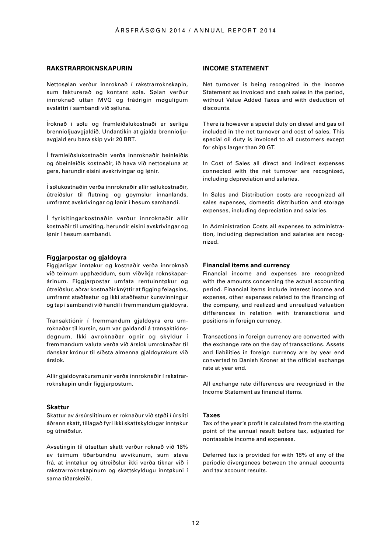#### **RAKSTRARROKNSKAPURIN**

Nettosølan verður innroknað í rakstrarroknskapin, sum fakturerað og kontant søla. Sølan verður innroknað uttan MVG og frádrigin møguligum avsláttri í sambandi við søluna.

Íroknað í sølu og framleiðslukostnaði er serliga brennioljuavgjaldið. Undantikin at gjalda brennioljuavgjald eru bara skip yvir 20 BRT.

Í framleiðslukostnaðin verða innroknaðir beinleiðis og óbeinleiðis kostnaðir, ið hava við nettosøluna at gera, harundir eisini avskrivingar og lønir.

Í sølukostnaðin verða innroknaðir allir sølukostnaðir, útreiðslur til flutning og goymslur innanlands, umframt avskrivingar og lønir í hesum sambandi.

Í fyrisitingarkostnaðin verður innroknaðir allir kostnaðir til umsiting, herundir eisini avskrivingar og lønir í hesum sambandi.

#### **Fíggjarpostar og gjaldoyra**

Fíggjarligar inntøkur og kostnaðir verða innroknað við teimum upphæddum, sum viðvíkja roknskaparárinum. Fíggjarpostar umfata rentuinntøkur og útreiðslur, aðrar kostnaðir knýttir at fígging felagsins, umframt staðfestur og ikki staðfestur kursvinningur og tap í sambandi við handil í fremmandum gjaldoyra.

Transaktiónir í fremmandum gjaldoyra eru umroknaðar til kursin, sum var galdandi á transaktiónsdegnum. Ikki avroknaðar ognir og skyldur í fremmandum valuta verða við árslok umroknaðar til danskar krónur til síðsta almenna gjaldoyrakurs við árslok.

Allir gjaldoyrakursmunir verða innroknaðir í rakstrarroknskapin undir fíggjarpostum.

#### **Skattur**

Skattur av ársúrslitinum er roknaður við støði í úrsliti áðrenn skatt, tillagað fyri ikki skattskyldugar inntøkur og útreiðslur.

Avsetingin til útsettan skatt verður roknað við 18% av teimum tíðarbundnu avvikunum, sum stava frá, at inntøkur og útreiðslur ikki verða tiknar við í rakstrarroknskapinum og skattskyldugu inntøkuni í sama tíðarskeiði.

#### **INCOME STATEMENT**

Net turnover is being recognized in the Income Statement as invoiced and cash sales in the period, without Value Added Taxes and with deduction of discounts.

There is however a special duty on diesel and gas oil included in the net turnover and cost of sales. This special oil duty is invoiced to all customers except for ships larger than 20 GT.

In Cost of Sales all direct and indirect expenses connected with the net turnover are recognized, including depreciation and salaries.

In Sales and Distribution costs are recognized all sales expenses, domestic distribution and storage expenses, including depreciation and salaries.

In Administration Costs all expenses to administration, including depreciation and salaries are recognized.

#### **Financial items and currency**

Financial income and expenses are recognized with the amounts concerning the actual accounting period. Financial items include interest income and expense, other expenses related to the financing of the company, and realized and unrealized valuation differences in relation with transactions and positions in foreign currency.

Transactions in foreign currency are converted with the exchange rate on the day of transactions. Assets and liabilities in foreign currency are by year end converted to Danish Kroner at the official exchange rate at year end.

All exchange rate differences are recognized in the Income Statement as financial items.

#### **Taxes**

Tax of the year's profit is calculated from the starting point of the annual result before tax, adjusted for nontaxable income and expenses.

Deferred tax is provided for with 18% of any of the periodic divergences between the annual accounts and tax account results.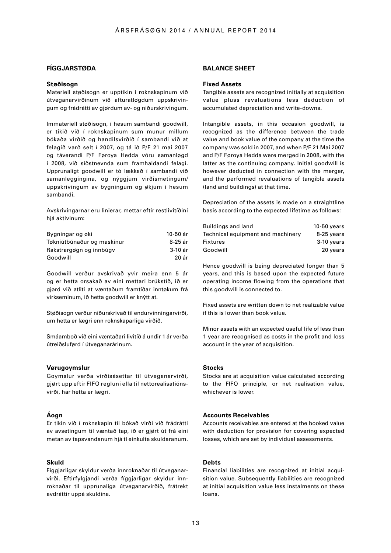## **FÍGGJARSTØÐA**

#### **Støðisogn**

Materiell støðisogn er upptikin í roknskapinum við útveganarvirðinum við afturatløgdum uppskrivingum og frádrátti av gjørdum av- og niðurskrivingum.

Immateriell støðisogn, í hesum sambandi goodwill, er tikið við í roknskapinum sum munur millum bókaða virðið og handilsvirðið í sambandi við at felagið varð selt í 2007, og tá ið P/F 21 mai 2007 og táverandi P/F Føroya Hedda vóru samanløgd í 2008, við síðstnevnda sum framhaldandi felagi. Upprunaligt goodwill er tó lækkað í sambandi við samanleggingina, og nýggjum virðismetingum/ uppskrivingum av bygningum og økjum í hesum sambandi.

Avskrivingarnar eru linierar, mettar eftir restlivitíðini hiá aktivinum:

| Bygningar og øki           | 10-50 ár |
|----------------------------|----------|
| Tøkniútbúnaður og maskinur | 8-25 ár  |
| Rakstrargøgn og innbúgv    | 3-10 ár  |
| Goodwill                   | 20 ár    |

Goodwill verður avskrivað yvir meira enn 5 ár og er hetta orsakað av eini mettari brúkstíð, ið er gjørd við atliti at væntaðum framtíðar inntøkum frá virkseminum, ið hetta goodwill er knýtt at.

Støðisogn verður niðurskrivað til endurvinningarvirði, um hetta er lægri enn roknskaparliga virðið.

Smáamboð við eini væntaðari livitíð á undir 1 ár verða útreiðsluførd í útveganarárinum.

#### **Vørugoymslur**

Goymslur verða virðisásettar til útveganarvirði, gjørt upp eftir FIFO regluni ella til nettorealisatiónsvirði, har hetta er lægri.

#### **Áogn**

Er tikin við í roknskapin til bókað virði við frádrátti av avsetingum til væntað tap, ið er gjørt út frá eini metan av tapsvandanum hjá tí einkulta skuldaranum.

#### **Skuld**

Fíggjarligar skyldur verða innroknaðar til útveganarvirði. Eftirfylgjandi verða fíggjarligar skyldur innroknaðar til upprunaliga útveganarvirðið, frátrekt avdráttir uppá skuldina.

#### **BALANCE SHEET**

#### **Fixed Assets**

Tangible assets are recognized initially at acquisition value pluss revaluations less deduction of accumulated depreciation and write-downs.

Intangible assets, in this occasion goodwill, is recognized as the difference between the trade value and book value of the company at the time the company was sold in 2007, and when P/F 21 Mai 2007 and P/F Føroya Hedda were merged in 2008, with the latter as the continuing company. Initial goodwill is however deducted in connection with the merger, and the performed revaluations of tangible assets (land and buildings) at that time.

Depreciation of the assets is made on a straightline basis according to the expected lifetime as follows:

| Buildings and land                | $10-50$ years |
|-----------------------------------|---------------|
| Technical equipment and machinery | 8-25 years    |
| <b>Fixtures</b>                   | $3-10$ years  |
| Goodwill                          | 20 years      |

Hence goodwill is being depreciated longer than 5 years, and this is based upon the expected future operating income flowing from the operations that this goodwill is connected to.

Fixed assets are written down to net realizable value if this is lower than book value.

Minor assets with an expected useful life of less than 1 year are recognised as costs in the profit and loss account in the year of acquisition.

#### **Stocks**

Stocks are at acquisition value calculated according to the FIFO principle, or net realisation value, whichever is lower.

#### **Accounts Receivables**

Accounts receivables are entered at the booked value with deduction for provision for covering expected losses, which are set by individual assessments.

#### **Debts**

Financial liabilities are recognized at initial acquisition value. Subsequently liabilities are recognized at initial acquisition value less instalments on these loans.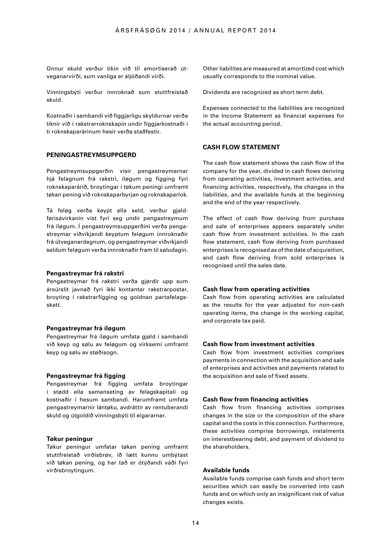Onnur skuld verður tikin við til amortiserað útveganarvirði, sum vanliga er áljóðandi virði.

Vinningsbýti verður innroknað sum stuttfreistað skuld.

Kostnaðir í sambandi við fíggjarligu skyldurnar verða tiknir við í rakstrarroknskapin undir fíggjarkostnaði í tí roknskaparárinum hesir verða staðfestir.

#### **PENINGASTREYMSUPPGERÐ**

Pengastreymsuppgerðin vísir pengastreymarnar hiá felagnum frá rakstri, íløgum og fígging fyri roknskaparárið, broytingar í tøkum peningi umframt tøkan pening við roknskaparbyrjan og roknskaparlok.

Tá feløg verða keypt ella seld, verður gjaldførisávirkanin víst fyri seg undir pengastreymum frá íløgum. Í pengastreymsuppgerðini verða pengastreymar viðvíkjandi keyptum feløgum innroknaðir frá útveganardegnum, og pengastreymar viðvíkjandi seldum feløgum verða innroknaðir fram til søludagin.

#### **Pengastreymar frá rakstri**

Pengastreymar frá rakstri verða gjørdir upp sum ársúrslit javnað fyri ikki kontantar rakstrarpostar, broyting í rakstrarfígging og goldnan partafelagsskatt.

#### **Pengastreymar frá íløgum**

Pengastreymar frá íløgum umfata gjøld í sambandi við keyp og sølu av feløgum og virksemi umframt keyp og sølu av støðisogn.

#### **Pengastreymar frá fígging**

Pengastreymar frá fígging umfata broytingar í stødd ella samanseting av felagskapitali og kostnaðir í hesum sambandi. Harumframt umfata pengastreymarnir lántøku, avdráttir av rentuberandi skuld og útgoldið vinningsbýti til eigararnar.

#### **Tøkur peningur**

Tøkur peningur umfatar tøkan pening umframt stuttfreistað virðisbrøv, ið lætt kunnu umbýtast við tøkan pening, og har tað er ótýðandi váði fyri virðisbroytingum.

Other liabilites are measured at amortized cost which usually corresponds to the nominal value.

Dividends are recognized as short term debt.

Expenses connected to the liabilities are recognized in the Income Statement as financial expenses for the actual accounting period.

#### **CASH FLOW STATEMENT**

The cash flow statement shows the cash flow of the company for the year, divided in cash flows deriving from operating activities, investment activities, and financing activities, respectively, the changes in the liabilities, and the available funds at the beginning and the end of the year respectively.

The effect of cash flow deriving from purchase and sale of enterprises appears separately under cash flow from investment activities. In the cash flow statement, cash flow deriving from purchased enterprises is recognised as of the date of acquisition, and cash flow deriving from sold enterprises is recognised until the sales date.

#### **Cash flow from operating activities**

Cash flow from operating activities are calculated as the results for the year adjusted for non-cash operating items, the change in the working capital, and corporate tax paid.

#### **Cash flow from investment activities**

Cash flow from investment activities comprises payments in connection with the acquisition and sale of enterprises and activities and payments related to the acquisition and sale of fixed assets.

#### **Cash flow from financing activities**

Cash flow from financing activities comprises changes in the size or the composition of the share capital and the costs in this connection. Furthermore, these activities comprise borrowings, instalments on interestbearing debt, and payment of dividend to the shareholders.

#### **Available funds**

Available funds comprise cash funds and short term securities which can easily be converted into cash funds and on which only an insignificant risk of value changes exists.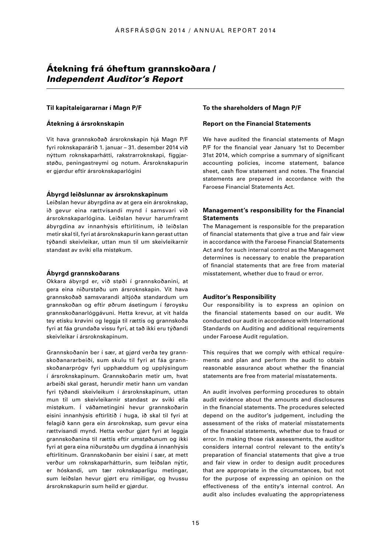## Átekning frá óheftum grannskoðara / *Independent Auditor's Report*

#### **Til kapitaleigararnar í Magn P/F**

#### **Átekning á ársroknskapin**

Vit hava grannskoðað ársroknskapin hjá Magn P/F fyri roknskaparárið 1. januar – 31. desember 2014 við nýttum roknskaparhátti, rakstrarroknskapi, fíggjarstøðu, peningastreymi og notum. Ársroknskapurin er gjørdur eftir ársroknskaparlógini

#### **Ábyrgd leiðslunnar av ársroknskapinum**

Leiðslan hevur ábyrgdina av at gera ein ársroknskap, ið gevur eina rættvísandi mynd í samsvari við ársroknskaparlógina. Leiðslan hevur harumframt ábyrgdina av innanhýsis eftirlitinum, ið leiðslan metir skal til, fyri at ársroknskapurin kann gerast uttan týðandi skeivleikar, uttan mun til um skeivleikarnir standast av sviki ella mistøkum.

## **Ábyrgd grannskoðarans**

Okkara ábyrgd er, við støði í grannskoðanini, at gera eina niðurstøðu um ársroknskapin. Vit hava grannskoðað samsvarandi altjóða standardum um grannskoðan og eftir øðrum ásetingum í føroysku grannskoðanarlóggávuni. Hetta krevur, at vit halda tey etisku krøvini og leggja til rættis og grannskoða fyri at fáa grundaða vissu fyri, at tað ikki eru týðandi skeivleikar í ársroknskapinum.

Grannskoðanin ber í sær, at gjørd verða tey grann skoðanararbeiði, sum skulu til fyri at fáa grannskoðanarprógv fyri upphæddum og upplýsingum í ársroknskapinum. Grannskoðarin metir um, hvat arbeiði skal gerast, herundir metir hann um vandan fyri týðandi skeivleikum í ársroknskapinum, uttan mun til um skeivleikarnir standast av sviki ella mistøkum. Í váðametingini hevur grannskoðarin eisini innanhýsis eftirlitið í huga, ið skal til fyri at felagið kann gera ein ársroknskap, sum gevur eina rættvísandi mynd. Hetta verður gjørt fyri at leggja grannskoðanina til rættis eftir umstøðunum og ikki fyri at gera eina niðurstøðu um dygdina á innanhýsis eftirlitinum. Grannskoðanin ber eisini í sær, at mett verður um roknskaparhátturin, sum leiðslan nýtir, er hóskandi, um tær roknskaparligu metingar, sum leiðslan hevur gjørt eru rímiligar, og hvussu ársroknskapurin sum heild er gjørdur.

#### **To the shareholders of Magn P/F**

#### **Report on the Financial Statements**

We have audited the financial statements of Magn P/F for the financial year January 1st to December 31st 2014, which comprise a summary of significant accounting policies, income statement, balance sheet, cash flow statement and notes. The financial statements are prepared in accordance with the Faroese Financial Statements Act.

### **Management's responsibility for the Financial Statements**

The Management is responsible for the preparation of financial statements that give a true and fair view in accordance with the Faroese Financial Statements Act and for such internal control as the Management determines is necessary to enable the preparation of financial statements that are free from material misstatement, whether due to fraud or error.

#### **Auditor's Responsibility**

Our responsibility is to express an opinion on the financial statements based on our audit. We conducted our audit in accordance with International Standards on Auditing and additional requirements under Faroese Audit regulation.

This requires that we comply with ethical requirements and plan and perform the audit to obtain reasonable assurance about whether the financial statements are free from material misstatements.

An audit involves performing procedures to obtain audit evidence about the amounts and disclosures in the financial statements. The procedures selected depend on the auditor's judgement, including the assessment of the risks of material misstatements of the financial statements, whether due to fraud or error. In making those risk assessments, the auditor considers internal control relevant to the entity's preparation of financial statements that give a true and fair view in order to design audit procedures that are appropriate in the circumstances, but not for the purpose of expressing an opinion on the effectiveness of the entity's internal control. An audit also includes evaluating the appropriateness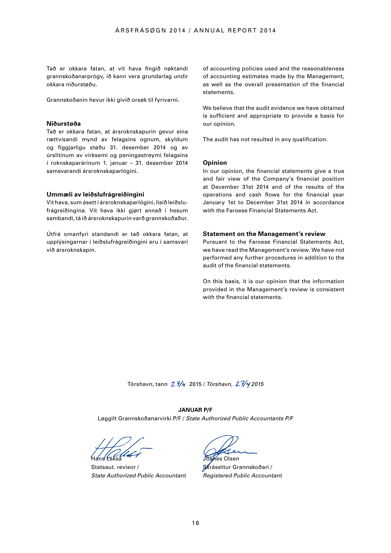Tað er okkara fatan, at vit hava fingið nøktandi grannskoðanarprógv, ið kann vera grundarlag undir okkara niðurstøðu.

Grannskoðanin hevur ikki givið orsøk til fyrivarni.

#### **Niðurstøða**

Tað er okkara fatan, at ársroknskapurin gevur eina rættvísandi mynd av felagsins ognum, skyldum og fíggjarligu støðu 31. desember 2014 og av úrslitinum av virksemi og peningastreymi felagsins í roknskaparárinum 1. januar – 31. desember 2014 samsvarandi ársroknskaparlógini.

#### **Ummæli av leiðslufrágreiðingini**

Vit hava, sum ásett í ársroknskaparlógini, lisið leiðslufrágreiðingina. Vit hava ikki gjørt annað í hesum sambandi, tá ið ársroknskapurin varð grannskoðaður.

Útfrá omanfyri standandi er tað okkara fatan, at upplýsingarnar í leiðslufrágreiðingini eru í samsvari við ársroknskapin.

of accounting policies used and the reasonableness of accounting estimates made by the Management, as well as the overall presentation of the financial statements.

We believe that the audit evidence we have obtained is sufficient and appropriate to provide a basis for our opinion.

The audit has not resulted in any qualification.

#### **Opinion**

In our opinion, the financial statements give a true and fair view of the Company's financial position at December 31st 2014 and of the results of the operations and cash flows for the financial year January 1st to December 31st 2014 in accordance with the Faroese Financial Statements Act.

#### **Statement on the Management's review**

Pursuant to the Faroese Financial Statements Act, we have read the Management's review. We have not performed any further procedures in addition to the audit of the financial statements.

On this basis, it is our opinion that the information provided in the Management's review is consistent with the financial statements.

Tórshavn, tann 27/4 2015 / Tórshavn, 27/4 2015

#### **Januar P/F**

Løggilt Grannskoðanarvirki P/F / *State Authorized Public Accountants P/F*

Hans Lakså

Statsaut. revisor / *State Authorized Public Accountant* 

es Olsen

Skrásettur Grannskoðari / *Registered Public Accountant*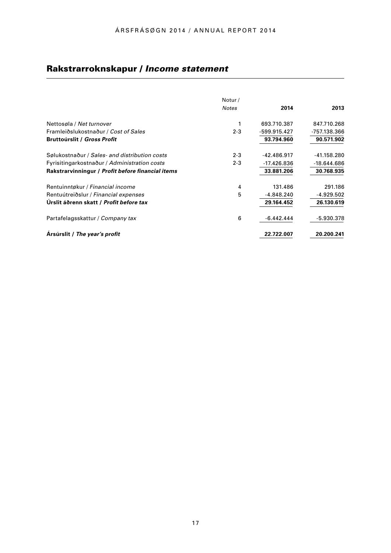# Rakstrarroknskapur / *Income statement*

|                                                   | Notur/       |               |               |
|---------------------------------------------------|--------------|---------------|---------------|
|                                                   | <b>Notes</b> | 2014          | 2013          |
| Nettosøla / Net turnover                          | 1            | 693.710.387   | 847.710.268   |
| Framleiðslukostnaður / Cost of Sales              | $2 - 3$      | -599.915.427  | -757.138.366  |
| <b>Bruttoúrslit / Gross Profit</b>                |              | 93.794.960    | 90.571.902    |
| Sølukostnaður / Sales- and distribution costs     | $2 - 3$      | $-42.486.917$ | $-41.158.280$ |
| Fyrisitingarkostnaður / Administration costs      | $2 - 3$      | -17.426.836   | $-18.644.686$ |
| Rakstrarvinningur / Profit before financial items |              | 33.881.206    | 30.768.935    |
| Rentuinntøkur / Financial income                  | 4            | 131.486       | 291.186       |
| Rentuútreiðslur / Financial expenses              | 5            | $-4.848.240$  | $-4.929.502$  |
| Urslit áðrenn skatt / Profit before tax           |              | 29.164.452    | 26.130.619    |
| Partafelagsskattur / Company tax                  | 6            | $-6.442.444$  | $-5.930.378$  |
| Arsúrslit / The year's profit                     |              | 22.722.007    | 20.200.241    |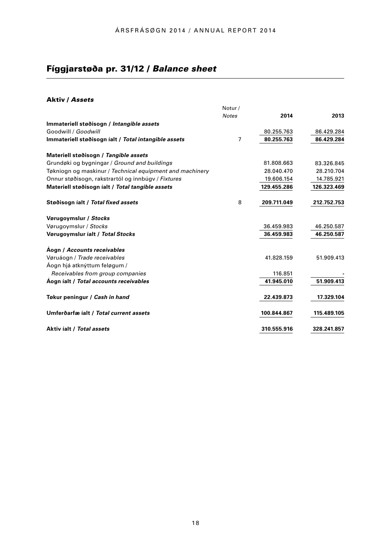# Fíggjarstøða pr. 31/12 / *Balance sheet*

## Aktiv / *Assets*

|                                                          | Notur/<br><b>Notes</b> | 2014        | 2013        |
|----------------------------------------------------------|------------------------|-------------|-------------|
| Immateriell støðisogn / Intangible assets                |                        |             |             |
| Goodwill / Goodwill                                      |                        | 80.255.763  | 86.429.284  |
| Immateriell støðisogn íalt / Total intangible assets     | 7                      | 80.255.763  | 86.429.284  |
|                                                          |                        |             |             |
| Materiell støðisogn / Tangible assets                    |                        |             |             |
| Grundøki og bygningar / Ground and buildings             |                        | 81.808.663  | 83.326.845  |
| Tøkniogn og maskinur / Technical equipment and machinery |                        | 28.040.470  | 28.210.704  |
| Onnur støðisogn, rakstrartól og innbúgv / Fixtures       |                        | 19.606.154  | 14.785.921  |
| Materiell støðisogn íalt / Total tangible assets         |                        | 129.455.286 | 126.323.469 |
| Støðisogn íalt / Total fixed assets                      | 8                      | 209.711.049 | 212.752.753 |
| Vørugoymslur / Stocks                                    |                        |             |             |
| Vørugoymslur / Stocks                                    |                        | 36.459.983  | 46.250.587  |
| Vørugoymslur íalt / Total Stocks                         |                        | 36.459.983  | 46.250.587  |
| Aogn / Accounts receivables                              |                        |             |             |
| Vøruáogn / Trade receivables                             |                        | 41.828.159  | 51.909.413  |
| Áogn hjá atknýttum feløgum /                             |                        |             |             |
| Receivables from group companies                         |                        | 116.851     |             |
| Aogn ialt / Total accounts receivables                   |                        | 41.945.010  | 51.909.413  |
| Tøkur peningur / Cash in hand                            |                        | 22.439.873  | 17.329.104  |
| Umferðarfæ íalt / Total current assets                   |                        | 100.844.867 | 115.489.105 |
| Aktiv jalt / Total assets                                |                        | 310.555.916 | 328.241.857 |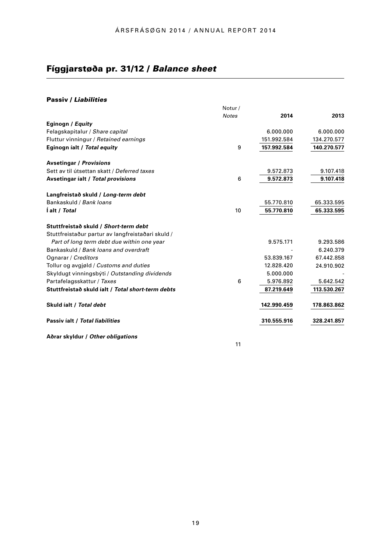# Fíggjarstøða pr. 31/12 / *Balance sheet*

## Passiv / *Liabilities*

|                                                   | Notur/       |             |             |
|---------------------------------------------------|--------------|-------------|-------------|
|                                                   | <b>Notes</b> | 2014        | 2013        |
| Eginogn / Equity                                  |              |             |             |
| Felagskapitalur / Share capital                   |              | 6.000.000   | 6.000.000   |
| Fluttur vinningur / Retained earnings             |              | 151.992.584 | 134.270.577 |
| Eginogn íalt / Total equity                       | 9            | 157.992.584 | 140.270.577 |
| <b>Avsetingar / Provisions</b>                    |              |             |             |
| Sett av til útsettan skatt / Deferred taxes       |              | 9.572.873   | 9.107.418   |
| Avsetingar ialt / Total provisions                | 6            | 9.572.873   | 9.107.418   |
| Langfreistað skuld / Long-term debt               |              |             |             |
| Bankaskuld / Bank Joans                           |              | 55.770.810  | 65.333.595  |
| l alt / Total                                     | 10           | 55.770.810  | 65.333.595  |
| Stuttfreistað skuld / Short-term debt             |              |             |             |
| Stuttfreistaður partur av langfreistaðari skuld / |              |             |             |
| Part of long term debt due within one year        |              | 9.575.171   | 9.293.586   |
| Bankaskuld / Bank Joans and overdraft             |              |             | 6.240.379   |
| Ognarar / Creditors                               |              | 53.839.167  | 67.442.858  |
| Tollur og avgiøld / Customs and duties            |              | 12.828.420  | 24.910.902  |
| Skyldugt vinningsbýti / Outstanding dividends     |              | 5.000.000   |             |
| Partafelagsskattur / Taxes                        | 6            | 5.976.892   | 5.642.542   |
| Stuttfreistað skuld íalt / Total short-term debts |              | 87.219.649  | 113.530.267 |
| Skuld ialt / Total debt                           |              | 142.990.459 | 178.863.862 |
| Passiv ialt / Total liabilities                   |              | 310.555.916 | 328.241.857 |
| Aðrar skyldur / Other obligations                 |              |             |             |

11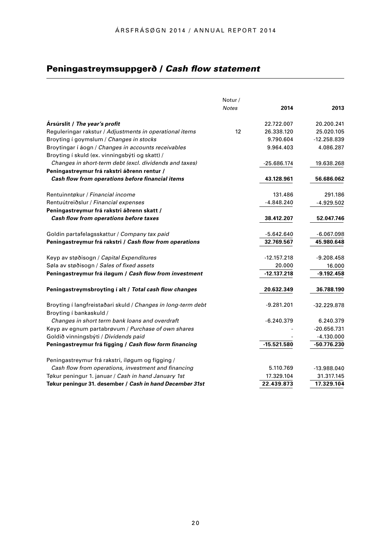# Peningastreymsuppgerð / *Cash flow statement*

|                                                                                         | Notur/       |               |               |
|-----------------------------------------------------------------------------------------|--------------|---------------|---------------|
|                                                                                         | <b>Notes</b> | 2014          | 2013          |
| Arsúrslit / The year's profit                                                           |              | 22.722.007    | 20.200.241    |
| Reguleringar rakstur / Adjustments in operational items                                 | 12           | 26.338.120    | 25.020.105    |
| Broyting í goymslum / Changes in stocks                                                 |              | 9.790.604     | $-12.258.839$ |
| Broytingar í áogn / Changes in accounts receivables                                     |              | 9.964.403     | 4.086.287     |
| Broyting í skuld (ex. vinningsbýti og skatt) /                                          |              |               |               |
| Changes in short-term debt (excl. dividends and taxes)                                  |              | -25.686.174   | 19.638.268    |
| Peningastreymur frá rakstri áðrenn rentur /                                             |              |               |               |
| Cash flow from operations before financial items                                        |              | 43.128.961    | 56.686.062    |
| Rentuinntøkur / Financial income                                                        |              | 131.486       | 291.186       |
| Rentuútreiðslur / Financial expenses                                                    |              | $-4.848.240$  | $-4.929.502$  |
| Peningastreymur frá rakstri áðrenn skatt /                                              |              |               |               |
| Cash flow from operations before taxes                                                  |              | 38.412.207    | 52.047.746    |
| Goldin partafelagsskattur / Company tax paid                                            |              | $-5.642.640$  | $-6.067.098$  |
| Peningastreymur frá rakstri / Cash flow from operations                                 |              | 32.769.567    | 45.980.648    |
| Keyp av støðisogn / Capital Expenditures                                                |              | $-12.157.218$ | $-9.208.458$  |
| Søla av støðisogn / Sales of fixed assets                                               |              | 20.000        | 16.000        |
| Peningastreymur frá íløgum / Cash flow from investment                                  |              | $-12.137.218$ | $-9.192.458$  |
| Peningastreymsbroyting i alt / Total cash flow changes                                  |              | 20.632.349    | 36.788.190    |
| Broyting í langfreistaðari skuld / Changes in long-term debt<br>Broyting í bankaskuld / |              | $-9.281.201$  | $-32.229.878$ |
| Changes in short term bank loans and overdraft                                          |              | $-6.240.379$  | 6.240.379     |
| Keyp av egnum partabrøvum / Purchase of own shares                                      |              |               | $-20.656.731$ |
| Goldið vinningsbýti / Dividends paid                                                    |              |               | $-4.130.000$  |
| Peningastreymur frá fígging / Cash flow form financing                                  |              | $-15.521.580$ | -50.776.230   |
| Peningastreymur frá rakstri, íløgum og fígging /                                        |              |               |               |
| Cash flow from operations, investment and financing                                     |              | 5.110.769     | $-13.988.040$ |
| Tøkur peningur 1. januar / Cash in hand January 1st                                     |              | 17.329.104    | 31.317.145    |
| Tøkur peningur 31. desember / Cash in hand December 31st                                |              | 22.439.873    | 17.329.104    |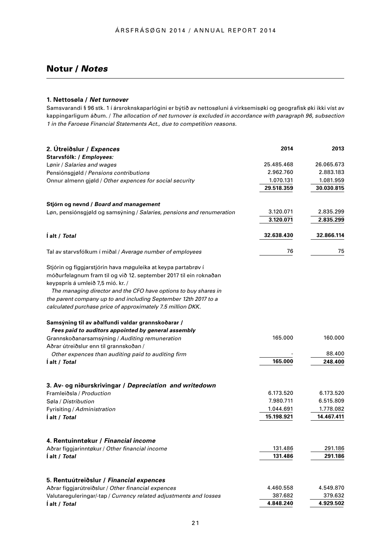# Notur / *Notes*

## **1. Nettosøla /** *Net turnover*

Samsvarandi § 96 stk. 1 í ársroknskaparlógini er býtið av nettosøluni á virksemisøki og geografisk øki ikki víst av kappingarligum áðum. / *The allocation of net turnover is excluded in accordance with paragraph 96, subsection 1 in the Faroese Financial Statements Act., due to competition reasons.*

| 2. Útreiðslur / Expences                                                                                                                                                                                                                   | 2014                 | 2013                 |
|--------------------------------------------------------------------------------------------------------------------------------------------------------------------------------------------------------------------------------------------|----------------------|----------------------|
| Starvsfólk: / Employees:<br>Lønir / Salaries and wages                                                                                                                                                                                     | 25.485.468           | 26.065.673           |
| Pensiónsgjøld / Pensions contributions                                                                                                                                                                                                     | 2.962.760            | 2.883.183            |
| Onnur almenn gjøld / Other expences for social security                                                                                                                                                                                    | 1.070.131            | 1.081.959            |
|                                                                                                                                                                                                                                            | 29.518.359           | 30.030.815           |
| Stjórn og nevnd / Board and management                                                                                                                                                                                                     |                      |                      |
| Løn, pensiónsgjøld og samsýning / Salaries, pensions and renumeration                                                                                                                                                                      | 3.120.071            | 2.835.299            |
|                                                                                                                                                                                                                                            | 3.120.071            | 2.835.299            |
| l alt / Total                                                                                                                                                                                                                              | 32.638.430           | 32.866.114           |
| Tal av starvsfólkum í miðal / Average number of employees                                                                                                                                                                                  | 76                   | 75                   |
| Stjórin og fíggjarstjórin hava møguleika at keypa partabrøv í<br>móðurfelagnum fram til og við 12. september 2017 til ein roknaðan<br>keypsprís á umleið 7,5 mió. kr. /<br>The managing director and the CFO have options to buy shares in |                      |                      |
| the parent company up to and including September 12th 2017 to a<br>calculated purchase price of approximately 7.5 million DKK.                                                                                                             |                      |                      |
| Samsýning til av aðalfundi valdar grannskoðarar /<br>Fees paid to auditors appointed by general assembly                                                                                                                                   |                      |                      |
| Grannskoðanarsamsýning / Auditing remuneration<br>Aðrar útreiðslur enn til grannskoðan /                                                                                                                                                   | 165.000              | 160.000              |
| Other expences than auditing paid to auditing firm                                                                                                                                                                                         |                      | 88.400               |
| l alt / Total                                                                                                                                                                                                                              | 165.000              | 248.400              |
| 3. Av- og niðurskrivingar / Depreciation and writedown                                                                                                                                                                                     |                      |                      |
| Framleiðsla / Production                                                                                                                                                                                                                   | 6.173.520            | 6.173.520            |
| Søla / Distribution                                                                                                                                                                                                                        | 7.980.711            | 6.515.809            |
| Fyrisiting / Administration                                                                                                                                                                                                                | 1.044.691            | 1.778.082            |
| l alt / Total                                                                                                                                                                                                                              | 15.198.921           | 14.467.411           |
| 4. Rentuinntøkur / Financial income                                                                                                                                                                                                        |                      |                      |
| Aðrar fíggjarinntøkur / Other financial income                                                                                                                                                                                             | 131.486              | 291.186              |
| l alt / Total                                                                                                                                                                                                                              | 131.486              | 291.186              |
|                                                                                                                                                                                                                                            |                      |                      |
| 5. Rentuútreiðslur / Financial expences                                                                                                                                                                                                    |                      |                      |
| Aðrar fíggjarútreiðslur / Other financial expences<br>Valutareguleringar/-tap / Currency related adjustments and losses                                                                                                                    | 4.460.558<br>387.682 | 4.549.870<br>379.632 |
| l alt / Total                                                                                                                                                                                                                              | 4.848.240            | 4.929.502            |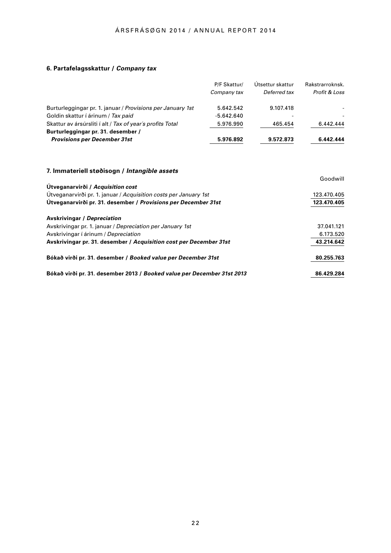## **6. Partafelagsskattur /** *Company tax*

|                                                            | P/F Skattur/<br>Company tax | Ütsettur skattur<br>Deferred tax | Rakstrarroknsk.<br>Profit & Loss |
|------------------------------------------------------------|-----------------------------|----------------------------------|----------------------------------|
| Burturleggingar pr. 1. januar / Provisions per January 1st | 5.642.542                   | 9.107.418                        |                                  |
| Goldin skattur í árinum / Tax paid                         | -5.642.640                  |                                  |                                  |
| Skattur av ársúrsliti í alt / Tax of year's profits Total  | 5.976.990                   | 465.454                          | 6.442.444                        |
| Burturleggingar pr. 31. desember /                         |                             |                                  |                                  |
| <b>Provisions per December 31st</b>                        | 5.976.892                   | 9.572.873                        | 6.442.444                        |

## **7. Immateriell støðisogn /** *Intangible assets*

|                                                                         | Goodwill    |
|-------------------------------------------------------------------------|-------------|
| Útveganarvirði / Acquisition cost                                       |             |
| Utveganarvirði pr. 1. januar / Acquisition costs per January 1st        | 123,470,405 |
| Utveganarvirði pr. 31. desember / Provisions per December 31st          | 123.470.405 |
| <b>Avskrivingar / Depreciation</b>                                      |             |
| Avskrivingar pr. 1. januar / Depreciation per January 1st               | 37.041.121  |
| Avskrivingar í árinum / Depreciation                                    | 6.173.520   |
| Avskrivingar pr. 31. desember / Acquisition cost per December 31st      | 43.214.642  |
| Bókað virði pr. 31. desember / Booked value per December 31st           | 80.255.763  |
| Bókað virði pr. 31. desember 2013 / Booked value per December 31st 2013 | 86.429.284  |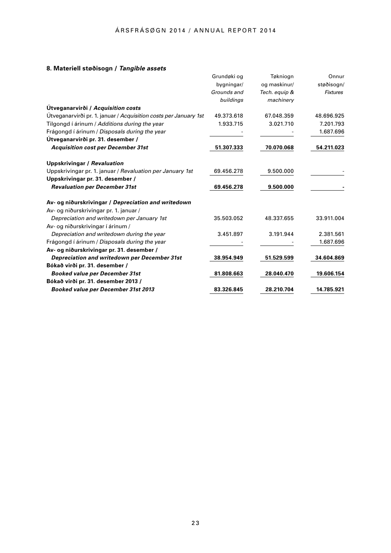## **8. Materiell støðisogn /** *Tangible assets*

| o. materien støvisvyn / <i>rangible assets</i>                   |             |               |                 |
|------------------------------------------------------------------|-------------|---------------|-----------------|
|                                                                  | Grundøki og | Tøkniogn      | Onnur           |
|                                                                  | bygningar/  | og maskinur/  | støðisogn/      |
|                                                                  | Grounds and | Tech. equip & | <b>Fixtures</b> |
|                                                                  | buildings   | machinery     |                 |
| Utveganarvirði / Acquisition costs                               |             |               |                 |
| Útveganarvirði pr. 1. januar / Acquisition costs per January 1st | 49.373.618  | 67.048.359    | 48.696.925      |
| Tilgongd í árinum / Additions during the year                    | 1.933.715   | 3.021.710     | 7.201.793       |
| Frágongd í árinum / Disposals during the year                    |             |               | 1.687.696       |
| Útveganarvirði pr. 31. desember /                                |             |               |                 |
| <b>Acquisition cost per December 31st</b>                        | 51.307.333  | 70.070.068    | 54.211.023      |
| <b>Uppskrivingar / Revaluation</b>                               |             |               |                 |
| Uppskrivingar pr. 1. januar / Revaluation per January 1st        | 69.456.278  | 9.500.000     |                 |
| Uppskrivingar pr. 31. desember /                                 |             |               |                 |
| <b>Revaluation per December 31st</b>                             | 69.456.278  | 9.500.000     |                 |
| Av- og niðurskrivingar / Depreciation and writedown              |             |               |                 |
| Av- og niðurskrivingar pr. 1. januar /                           |             |               |                 |
| Depreciation and writedown per January 1st                       | 35.503.052  | 48.337.655    | 33.911.004      |
| Av- og niðurskrivingar í árinum /                                |             |               |                 |
| Depreciation and writedown during the year                       | 3.451.897   | 3.191.944     | 2.381.561       |
| Frágongd í árinum / Disposals during the year                    |             |               | 1.687.696       |
| Av- og niðurskrivingar pr. 31. desember /                        |             |               |                 |
| Depreciation and writedown per December 31st                     | 38.954.949  | 51.529.599    | 34.604.869      |
| Bókað virði pr. 31. desember /                                   |             |               |                 |
| <b>Booked value per December 31st</b>                            | 81.808.663  | 28.040.470    | 19.606.154      |
| Bókað virði pr. 31. desember 2013 /                              |             |               |                 |
| <b>Booked value per December 31st 2013</b>                       | 83.326.845  | 28.210.704    | 14.785.921      |
|                                                                  |             |               |                 |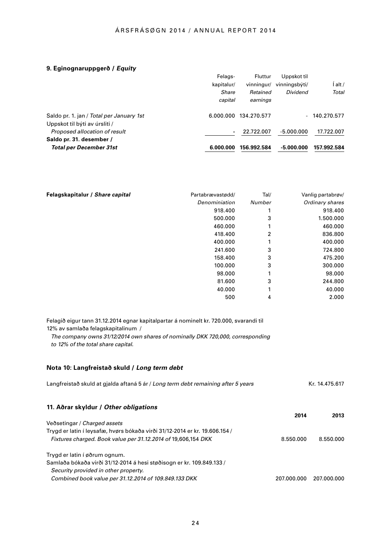## **9. Eginognaruppgerð /** *Equity*

|                                          | Felags-                  | <b>Fluttur</b> | Uppskot til   |                |
|------------------------------------------|--------------------------|----------------|---------------|----------------|
|                                          | kapitalur/               | vinningur/     | vinningsbýti/ | alt /          |
|                                          | Share                    | Retained       | Dividend      | Total          |
|                                          | capital                  | earnings       |               |                |
| Saldo pr. 1. jan / Total per January 1st | 6.000.000                | 134.270.577    |               | $-140.270.577$ |
| Uppskot til býti av úrsliti /            |                          |                |               |                |
| Proposed allocation of result            | $\overline{\phantom{0}}$ | 22.722.007     | $-5.000.000$  | 17.722.007     |
| Saldo pr. 31. desember /                 |                          |                |               |                |
| <b>Total per December 31st</b>           | 6.000.000                | 156.992.584    | $-5.000.000$  | 157.992.584    |

| Felagskapitalur / Share capital | Partabrævastødd/ | Tal/   | Vanlig partabrøv/ |
|---------------------------------|------------------|--------|-------------------|
|                                 | Denominiation    | Number | Ordinary shares   |
|                                 | 918,400          |        | 918.400           |
|                                 | 500.000          | 3      | 1.500.000         |
|                                 | 460.000          |        | 460.000           |
|                                 | 418.400          | 2      | 836.800           |
|                                 | 400.000          |        | 400.000           |
|                                 | 241.600          | 3      | 724.800           |
|                                 | 158,400          | 3      | 475.200           |
|                                 | 100.000          | 3      | 300.000           |
|                                 | 98.000           |        | 98,000            |
|                                 | 81.600           | 3      | 244.800           |
|                                 | 40.000           |        | 40.000            |
|                                 | 500              | 4      | 2.000             |

Felagið eigur tann 31.12.2014 egnar kapitalpartar á nominelt kr. 720.000, svarandi til 12% av samlaða felagskapitalinum /

 *The company owns 31/12/2014 own shares of nominally DKK 720,000, corresponding to 12% of the total share capital.* 

## **Nota 10: Langfreistað skuld /** *Long term debt*

| Langfreistað skuld at gjalda aftaná 5 ár / Long term debt remaining after 5 years | Kr. 14.475.617 |             |
|-----------------------------------------------------------------------------------|----------------|-------------|
| 11. Aðrar skyldur / Other obligations                                             |                |             |
|                                                                                   | 2014           | 2013        |
| Veðsetingar / Charged assets                                                      |                |             |
| Trygd er latin í leysafæ, hvørs bókaða virði 31/12-2014 er kr. 19.606.154 /       |                |             |
| Fixtures charged. Book value per 31.12.2014 of 19,606,154 DKK                     | 8.550.000      | 8.550.000   |
| Trygd er latin í øðrum ognum.                                                     |                |             |
| Samlaða bókaða virði 31/12-2014 á hesi støðisogn er kr. 109.849.133 /             |                |             |
| Security provided in other property.                                              |                |             |
| Combined book value per 31.12.2014 of 109.849.133 DKK                             | 207.000.000    | 207.000.000 |
|                                                                                   |                |             |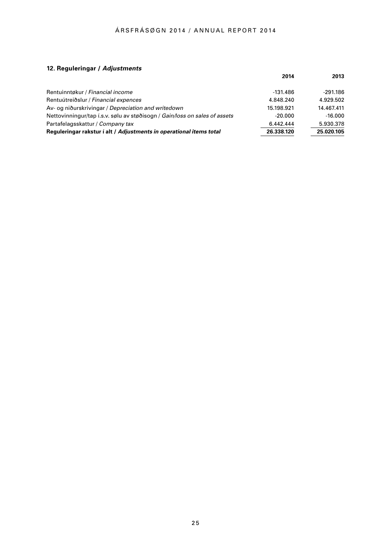## **12. Reguleringar /** *Adjustments*

|                                                                            | 2014       | 2013       |
|----------------------------------------------------------------------------|------------|------------|
| Rentuinntøkur / Financial income                                           | $-131.486$ | $-291.186$ |
| Rentuútreiðslur / Financial expences                                       | 4.848.240  | 4.929.502  |
| Av- og niðurskrivingar / Depreciation and writedown                        | 15.198.921 | 14.467.411 |
| Nettovinningur/tap i.s.v. sølu av støðisogn / Gain/loss on sales of assets | $-20.000$  | $-16,000$  |
| Partafelagsskattur / Company tax                                           | 6.442.444  | 5.930.378  |
| Reguleringar rakstur i alt / Adjustments in operational items total        | 26.338.120 | 25.020.105 |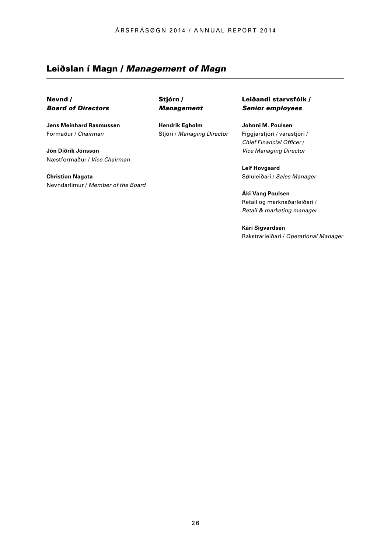## Leiðslan í Magn / *Management of Magn*

Nevnd / *Board of Directors* 

**Jens Meinhard Rasmussen**  Formaður / *Chairman*

**Jón Díðrik Jónsson**  Næstformaður / *Vice Chairman*

**Christian Nagata** Nevndarlimur / *Member of the Board*  Stjórn / *Management*

**Hendrik Egholm**  Stjóri / *Managing Director* Leiðandi starvsfólk / *Senior employees* 

**Johnni M. Poulsen** Fíggjarstjóri / varastjóri / *Chief Financial Officer* / *Vice Managing Director* 

**Leif Hovgaard** Søluleiðari / *Sales Manager*

**Áki Vang Poulsen** Retail og marknaðarleiðari / *Retail & marketing manager*

**Kári Sigvardsen** Rakstrarleiðari / *Operational Manager*